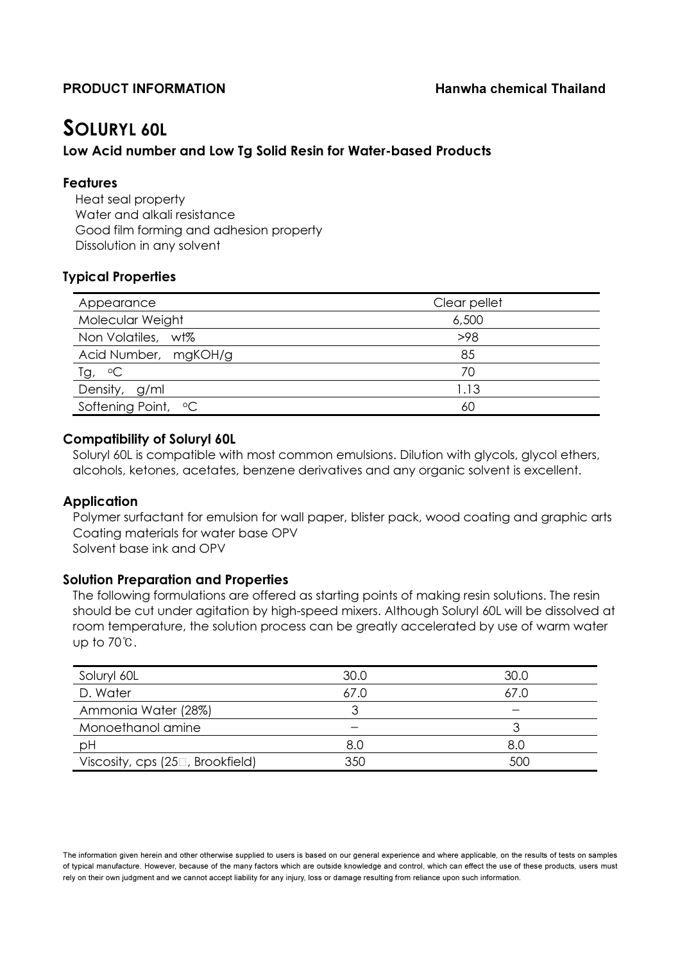# SOLURYL 60L

## Low Acid number and Low Tg Solid Resin for Water-based Products

### Features

Heat seal property Water and alkali resistance Good film forming and adhesion property Dissolution in any solvent

# Typical Properties

| Appearance                  | Clear pellet |  |
|-----------------------------|--------------|--|
| Molecular Weight            | 6,500        |  |
| Non Volatiles, wt%          | >98          |  |
| Acid Number, mgKOH/g        | 85           |  |
| $\overline{I}g$ , $\circ C$ | 70           |  |
| Density, g/ml               | 1.13         |  |
| Softening Point, °C         | 60           |  |

### Compatibility of Soluryl 60L

Soluryl 60L is compatible with most common emulsions. Dilution with glycols, glycol ethers, alcohols, ketones, acetates, benzene derivatives and any organic solvent is excellent.

### Application

Polymer surfactant for emulsion for wall paper, blister pack, wood coating and graphic arts Coating materials for water base OPV Solvent base ink and OPV

### Solution Preparation and Properties

The following formulations are offered as starting points of making resin solutions. The resin should be cut under agitation by high-speed mixers. Although Soluryl 60L will be dissolved at room temperature, the solution process can be greatly accelerated by use of warm water up to 70℃.

| Soluryl 60L                                     | 30.0 | 30.0 |
|-------------------------------------------------|------|------|
| D. Water                                        | 67.0 | 67.0 |
| Ammonia Water (28%)                             |      |      |
| Monoethanol amine                               |      |      |
| рH                                              | 8.0  | 8.0  |
| Viscosity, cps (25 <sup>[2]</sup> , Brookfield) | 350  | 500  |

The information given herein and other otherwise supplied to users is based on our general experience and where applicable, on the results of tests on samples of typical manufacture. However, because of the many factors which are outside knowledge and control, which can effect the use of these products, users must rely on their own judgment and we cannot accept liability for any injury, loss or damage resulting from reliance upon such information.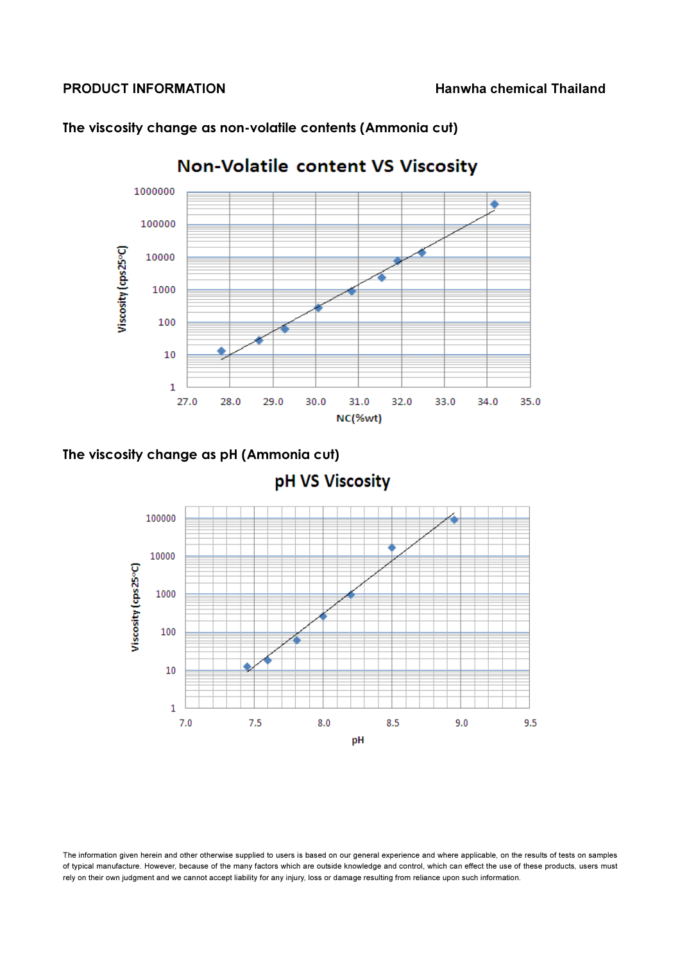

The viscosity change as non-volatile contents (Ammonia cut)

# The viscosity change as pH (Ammonia cut)



The information given herein and other otherwise supplied to users is based on our general experience and where applicable, on the results of tests on samples of typical manufacture. However, because of the many factors which are outside knowledge and control, which can effect the use of these products, users must rely on their own judgment and we cannot accept liability for any injury, loss or damage resulting from reliance upon such information.